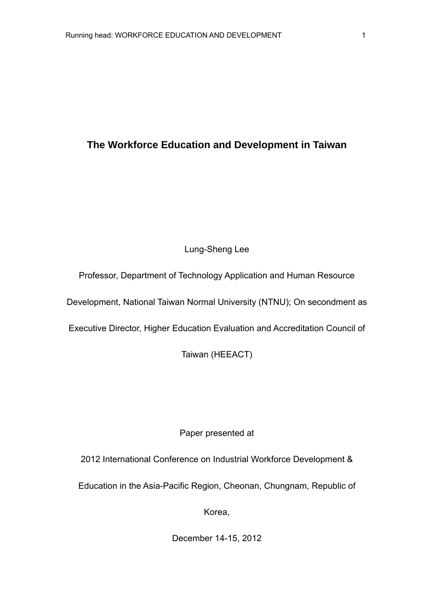# **The Workforce Education and Development in Taiwan**

# Lung-Sheng Lee

Professor, Department of Technology Application and Human Resource

Development, National Taiwan Normal University (NTNU); On secondment as

Executive Director, Higher Education Evaluation and Accreditation Council of

Taiwan (HEEACT)

# Paper presented at

2012 International Conference on Industrial Workforce Development &

Education in the Asia-Pacific Region, Cheonan, Chungnam, Republic of

Korea,

December 14-15, 2012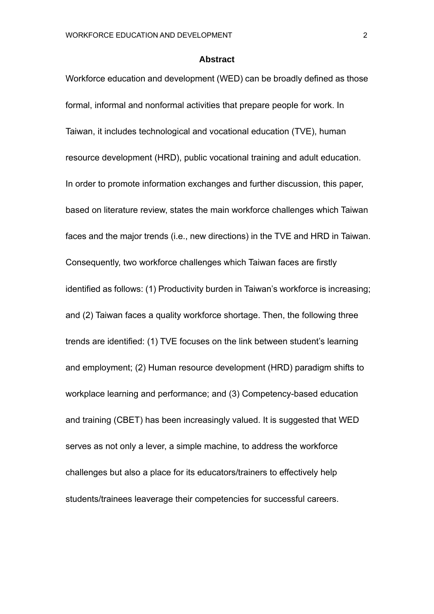#### **Abstract**

Workforce education and development (WED) can be broadly defined as those formal, informal and nonformal activities that prepare people for work. In Taiwan, it includes technological and vocational education (TVE), human resource development (HRD), public vocational training and adult education. In order to promote information exchanges and further discussion, this paper, based on literature review, states the main workforce challenges which Taiwan faces and the major trends (i.e., new directions) in the TVE and HRD in Taiwan. Consequently, two workforce challenges which Taiwan faces are firstly identified as follows: (1) Productivity burden in Taiwan's workforce is increasing; and (2) Taiwan faces a quality workforce shortage. Then, the following three trends are identified: (1) TVE focuses on the link between student's learning and employment; (2) Human resource development (HRD) paradigm shifts to workplace learning and performance; and (3) Competency-based education and training (CBET) has been increasingly valued. It is suggested that WED serves as not only a lever, a simple machine, to address the workforce challenges but also a place for its educators/trainers to effectively help students/trainees leaverage their competencies for successful careers.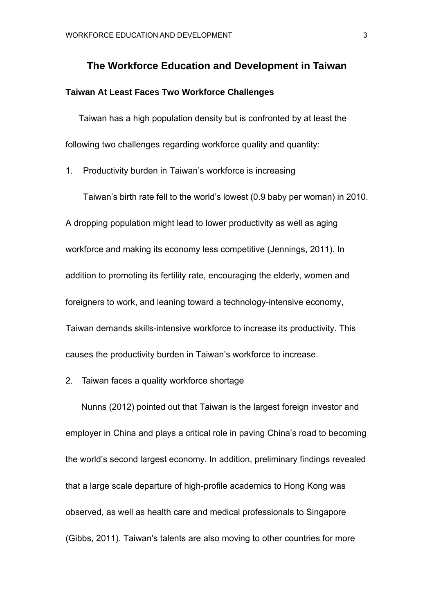# **The Workforce Education and Development in Taiwan**

# **Taiwan At Least Faces Two Workforce Challenges**

Taiwan has a high population density but is confronted by at least the following two challenges regarding workforce quality and quantity:

1. Productivity burden in Taiwan's workforce is increasing

Taiwan's birth rate fell to the world's lowest (0.9 baby per woman) in 2010. A dropping population might lead to lower productivity as well as aging workforce and making its economy less competitive (Jennings, 2011). In addition to promoting its fertility rate, encouraging the elderly, women and foreigners to work, and leaning toward a technology-intensive economy, Taiwan demands skills-intensive workforce to increase its productivity. This causes the productivity burden in Taiwan's workforce to increase.

## 2. Taiwan faces a quality workforce shortage

Nunns (2012) pointed out that Taiwan is the largest foreign investor and employer in China and plays a critical role in paving China's road to becoming the world's second largest economy. In addition, preliminary findings revealed that a large scale departure of high-profile academics to Hong Kong was observed, as well as health care and medical professionals to Singapore (Gibbs, 2011). Taiwan's talents are also moving to other countries for more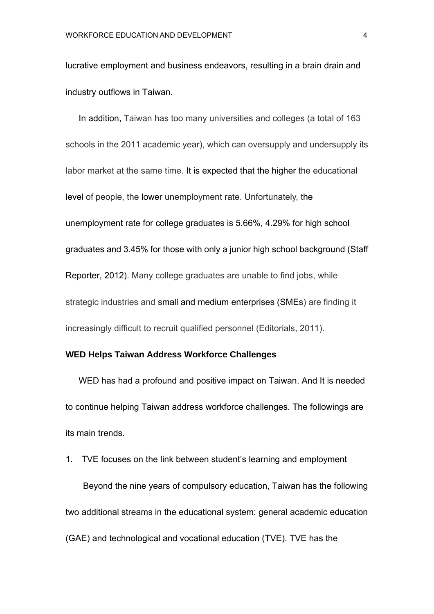lucrative employment and business endeavors, resulting in a brain drain and industry outflows in Taiwan.

In addition, Taiwan has too many universities and colleges (a total of 163 schools in the 2011 academic year), which can oversupply and undersupply its labor market at the same time. It is expected that the higher the educational level of people, the lower unemployment rate. Unfortunately, the unemployment rate for college graduates is 5.66%, 4.29% for high school graduates and 3.45% for those with only a junior high school background (Staff Reporter, 2012). Many college graduates are unable to find jobs, while strategic industries and small and medium enterprises (SMEs) are finding it increasingly difficult to recruit qualified personnel (Editorials, 2011).

#### **WED Helps Taiwan Address Workforce Challenges**

WED has had a profound and positive impact on Taiwan. And It is needed to continue helping Taiwan address workforce challenges. The followings are its main trends.

1. TVE focuses on the link between student's learning and employment Beyond the nine years of compulsory education, Taiwan has the following two additional streams in the educational system: general academic education (GAE) and technological and vocational education (TVE). TVE has the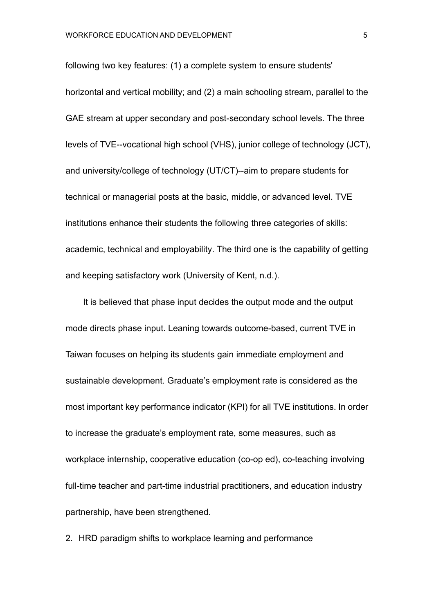following two key features: (1) a complete system to ensure students' horizontal and vertical mobility; and (2) a main schooling stream, parallel to the GAE stream at upper secondary and post-secondary school levels. The three levels of TVE--vocational high school (VHS), junior college of technology (JCT), and university/college of technology (UT/CT)--aim to prepare students for technical or managerial posts at the basic, middle, or advanced level. TVE institutions enhance their students the following three categories of skills: academic, technical and employability. The third one is the capability of getting and keeping satisfactory work (University of Kent, n.d.).

It is believed that phase input decides the output mode and the output mode directs phase input. Leaning towards outcome-based, current TVE in Taiwan focuses on helping its students gain immediate employment and sustainable development. Graduate's employment rate is considered as the most important key performance indicator (KPI) for all TVE institutions. In order to increase the graduate's employment rate, some measures, such as workplace internship, cooperative education (co-op ed), co-teaching involving full-time teacher and part-time industrial practitioners, and education industry partnership, have been strengthened.

2. HRD paradigm shifts to workplace learning and performance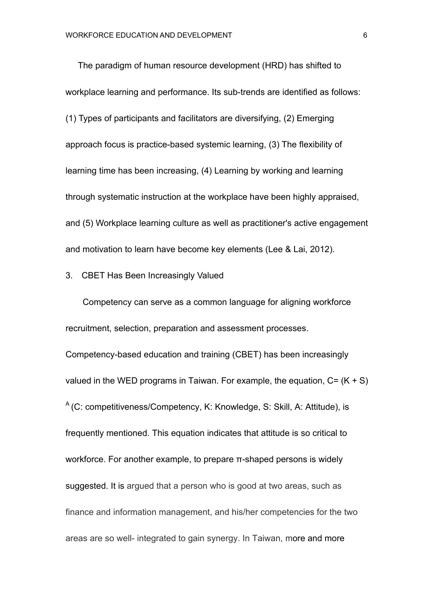The paradigm of human resource development (HRD) has shifted to workplace learning and performance. Its sub-trends are identified as follows: (1) Types of participants and facilitators are diversifying, (2) Emerging approach focus is practice-based systemic learning, (3) The flexibility of learning time has been increasing, (4) Learning by working and learning through systematic instruction at the workplace have been highly appraised, and (5) Workplace learning culture as well as practitioner's active engagement and motivation to learn have become key elements (Lee & Lai, 2012).

## 3. CBET Has Been Increasingly Valued

Competency can serve as a common language for aligning workforce recruitment, selection, preparation and assessment processes. Competency-based education and training (CBET) has been increasingly valued in the WED programs in Taiwan. For example, the equation,  $C = (K + S)$  $A$  (C: competitiveness/Competency, K: Knowledge, S: Skill, A: Attitude), is frequently mentioned. This equation indicates that attitude is so critical to workforce. For another example, to prepare π-shaped persons is widely suggested. It is argued that a person who is good at two areas, such as finance and information management, and his/her competencies for the two areas are so well- integrated to gain synergy. In Taiwan, more and more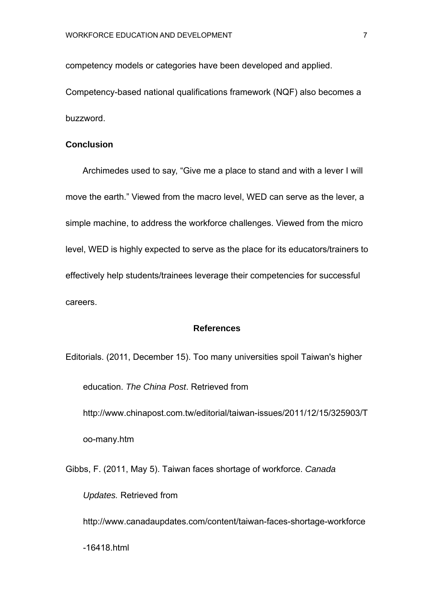competency models or categories have been developed and applied.

Competency-based national qualifications framework (NQF) also becomes a buzzword.

#### **Conclusion**

Archimedes used to say, "Give me a place to stand and with a lever I will move the earth." Viewed from the macro level, WED can serve as the lever, a simple machine, to address the workforce challenges. Viewed from the micro level, WED is highly expected to serve as the place for its educators/trainers to effectively help students/trainees leverage their competencies for successful careers.

#### **References**

Editorials. (2011, December 15). Too many universities spoil Taiwan's higher education. *The China Post*. Retrieved from http://www.chinapost.com.tw/editorial/taiwan-issues/2011/12/15/325903/T oo-many.htm

Gibbs, F. (2011, May 5). Taiwan faces shortage of workforce. *Canada* 

*Updates.* Retrieved from

http://www.canadaupdates.com/content/taiwan-faces-shortage-workforce

-16418.html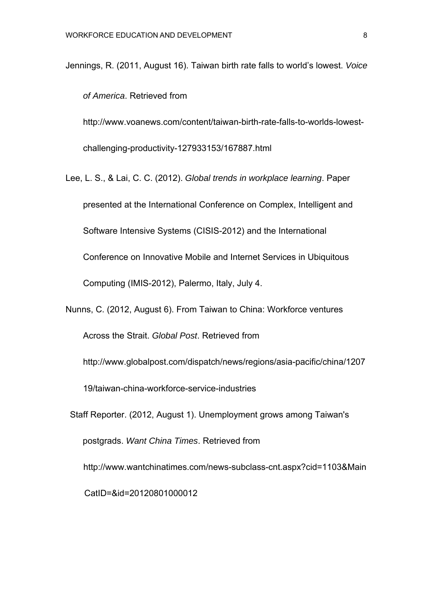Jennings, R. (2011, August 16). Taiwan birth rate falls to world's lowest. *Voice* 

*of America*. Retrieved from

http://www.voanews.com/content/taiwan-birth-rate-falls-to-worlds-lowestchallenging-productivity-127933153/167887.html

Lee, L. S., & Lai, C. C. (2012). *Global trends in workplace learning*. Paper presented at the International Conference on Complex, Intelligent and Software Intensive Systems (CISIS-2012) and the International Conference on Innovative Mobile and Internet Services in Ubiquitous Computing (IMIS-2012), Palermo, Italy, July 4.

Nunns, C. (2012, August 6). From Taiwan to China: Workforce ventures

Across the Strait. *Global Post*. Retrieved from

http://www.globalpost.com/dispatch/news/regions/asia-pacific/china/1207

19/taiwan-china-workforce-service-industries

Staff Reporter. (2012, August 1). Unemployment grows among Taiwan's postgrads. *Want China Times*. Retrieved from http://www.wantchinatimes.com/news-subclass-cnt.aspx?cid=1103&Main CatID=&id=20120801000012